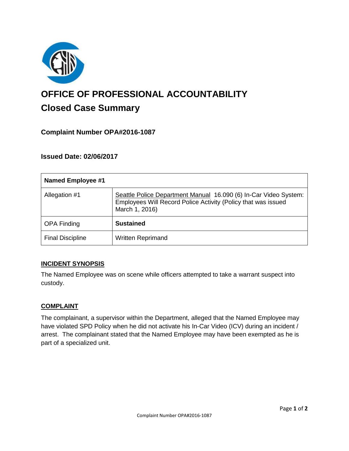

# **OFFICE OF PROFESSIONAL ACCOUNTABILITY Closed Case Summary**

# **Complaint Number OPA#2016-1087**

## **Issued Date: 02/06/2017**

| <b>Named Employee #1</b> |                                                                                                                                                     |
|--------------------------|-----------------------------------------------------------------------------------------------------------------------------------------------------|
| Allegation #1            | Seattle Police Department Manual 16.090 (6) In-Car Video System:<br>Employees Will Record Police Activity (Policy that was issued<br>March 1, 2016) |
| <b>OPA Finding</b>       | <b>Sustained</b>                                                                                                                                    |
| <b>Final Discipline</b>  | <b>Written Reprimand</b>                                                                                                                            |

#### **INCIDENT SYNOPSIS**

The Named Employee was on scene while officers attempted to take a warrant suspect into custody.

#### **COMPLAINT**

The complainant, a supervisor within the Department, alleged that the Named Employee may have violated SPD Policy when he did not activate his In-Car Video (ICV) during an incident / arrest. The complainant stated that the Named Employee may have been exempted as he is part of a specialized unit.